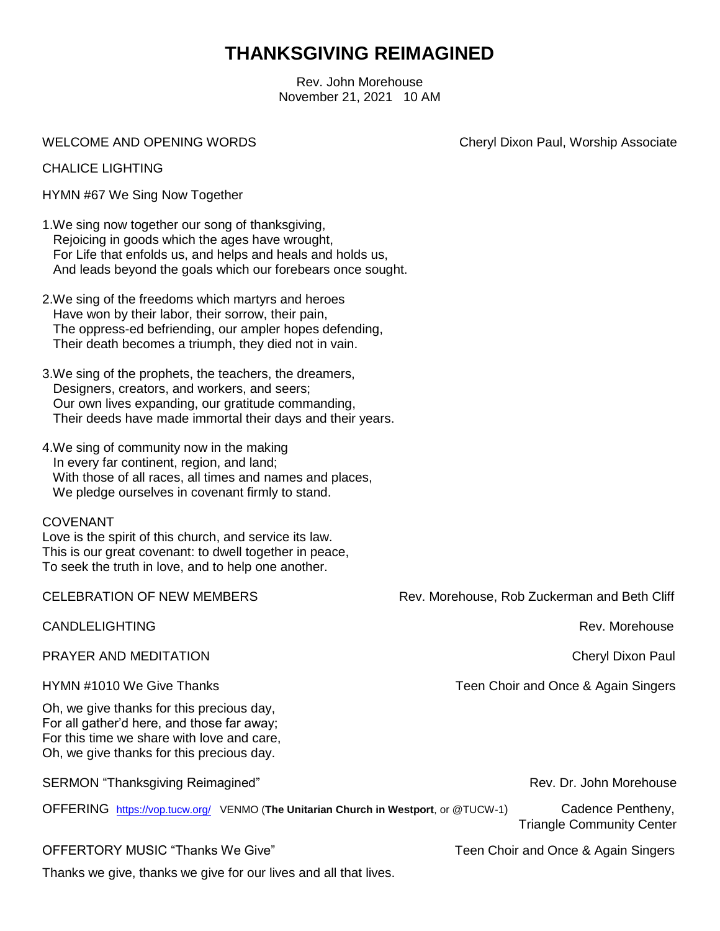## **THANKSGIVING REIMAGINED**

Rev. John Morehouse November 21, 2021 10 AM

WELCOME AND OPENING WORDS WELCOME AND OPENING WORDS

CHALICE LIGHTING

HYMN #67 We Sing Now Together

- 1.We sing now together our song of thanksgiving, Rejoicing in goods which the ages have wrought, For Life that enfolds us, and helps and heals and holds us, And leads beyond the goals which our forebears once sought.
- 2.We sing of the freedoms which martyrs and heroes Have won by their labor, their sorrow, their pain, The oppress-ed befriending, our ampler hopes defending, Their death becomes a triumph, they died not in vain.
- 3.We sing of the prophets, the teachers, the dreamers, Designers, creators, and workers, and seers; Our own lives expanding, our gratitude commanding, Their deeds have made immortal their days and their years.
- 4.We sing of community now in the making In every far continent, region, and land; With those of all races, all times and names and places, We pledge ourselves in covenant firmly to stand.

## COVENANT

Love is the spirit of this church, and service its law. This is our great covenant: to dwell together in peace, To seek the truth in love, and to help one another.

CELEBRATION OF NEW MEMBERS Rev. Morehouse, Rob Zuckerman and Beth Cliff CANDLELIGHTING **Rev. Morehouse** PRAYER AND MEDITATION Cheryl Dixon Paul HYMN #1010 We Give Thanks Teen Choir and Once & Again Singers Oh, we give thanks for this precious day, For all gather'd here, and those far away; For this time we share with love and care, Oh, we give thanks for this precious day. SERMON "Thanksgiving Reimagined" Manuscription Communication Communication Communication Communication Communication Communication Communication Communication Communication Communication Communication Communication Communi OFFERING <https://vop.tucw.org/>VENMO (**The Unitarian Church in Westport**, or @TUCW-1) Cadence Pentheny, Triangle Community Center OFFERTORY MUSIC "Thanks We Give" Thanks We Give Teen Choir and Once & Again Singers Thanks we give, thanks we give for our lives and all that lives.